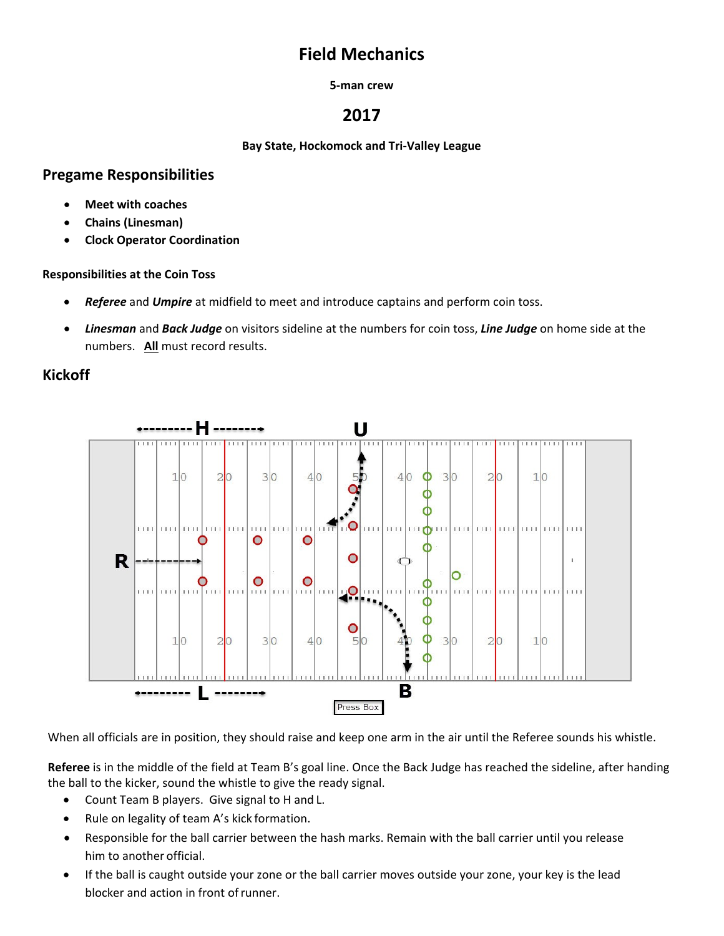# **Field Mechanics**

#### **5-man crew**

# **2017**

**Bay State, Hockomock and Tri-Valley League**

# **Pregame Responsibilities**

- **Meet with coaches**
- **Chains (Linesman)**
- **Clock Operator Coordination**

### **Responsibilities at the Coin Toss**

- *Referee* and *Umpire* at midfield to meet and introduce captains and perform coin toss.
- *Linesman* and *Back Judge* on visitors sideline at the numbers for coin toss, *Line Judge* on home side at the numbers. **All** must record results.

# **Kickoff**



When all officials are in position, they should raise and keep one arm in the air until the Referee sounds his whistle.

**Referee** is in the middle of the field at Team B's goal line. Once the Back Judge has reached the sideline, after handing the ball to the kicker, sound the whistle to give the ready signal.

- Count Team B players. Give signal to H and L.
- Rule on legality of team A's kick formation.
- Responsible for the ball carrier between the hash marks. Remain with the ball carrier until you release him to another official.
- If the ball is caught outside your zone or the ball carrier moves outside your zone, your key is the lead blocker and action in front ofrunner.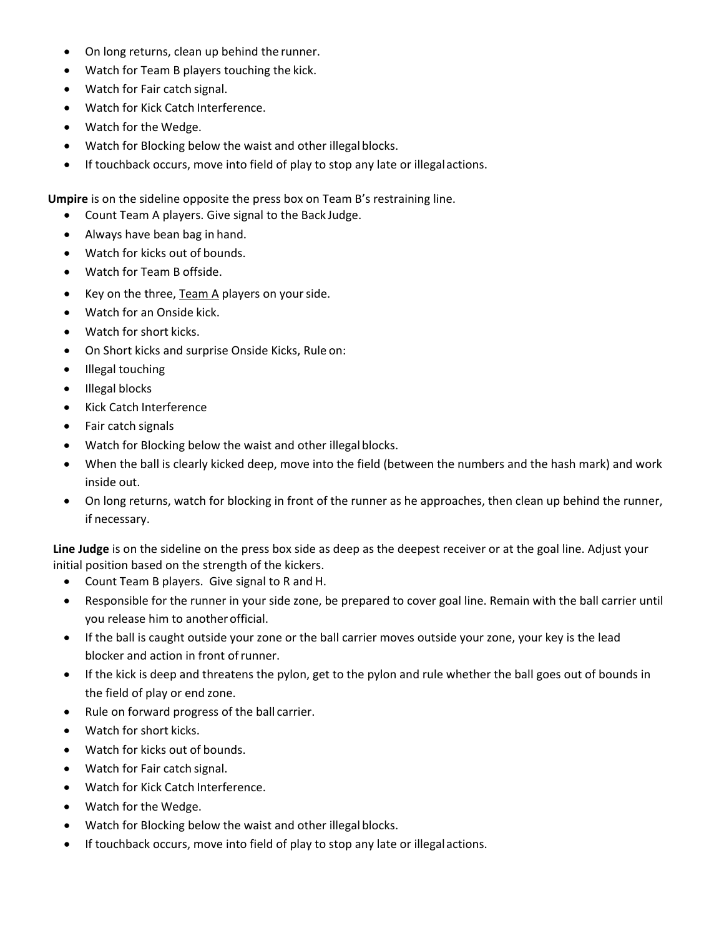- On long returns, clean up behind the runner.
- Watch for Team B players touching the kick.
- Watch for Fair catch signal.
- Watch for Kick Catch Interference.
- Watch for the Wedge.
- Watch for Blocking below the waist and other illegal blocks.
- If touchback occurs, move into field of play to stop any late or illegal actions.

**Umpire** is on the sideline opposite the press box on Team B's restraining line.

- Count Team A players. Give signal to the Back Judge.
- Always have bean bag in hand.
- Watch for kicks out of bounds.
- Watch for Team B offside.
- Key on the three, Team A players on your side.
- Watch for an Onside kick.
- Watch for short kicks.
- On Short kicks and surprise Onside Kicks, Rule on:
- Illegal touching
- Illegal blocks
- Kick Catch Interference
- Fair catch signals
- Watch for Blocking below the waist and other illegal blocks.
- When the ball is clearly kicked deep, move into the field (between the numbers and the hash mark) and work inside out.
- On long returns, watch for blocking in front of the runner as he approaches, then clean up behind the runner, if necessary.

**Line Judge** is on the sideline on the press box side as deep as the deepest receiver or at the goal line. Adjust your initial position based on the strength of the kickers.

- Count Team B players. Give signal to R and H.
- Responsible for the runner in your side zone, be prepared to cover goal line. Remain with the ball carrier until you release him to another official.
- If the ball is caught outside your zone or the ball carrier moves outside your zone, your key is the lead blocker and action in front ofrunner.
- If the kick is deep and threatens the pylon, get to the pylon and rule whether the ball goes out of bounds in the field of play or end zone.
- Rule on forward progress of the ball carrier.
- Watch for short kicks.
- Watch for kicks out of bounds.
- Watch for Fair catch signal.
- Watch for Kick Catch Interference.
- Watch for the Wedge.
- Watch for Blocking below the waist and other illegal blocks.
- If touchback occurs, move into field of play to stop any late or illegal actions.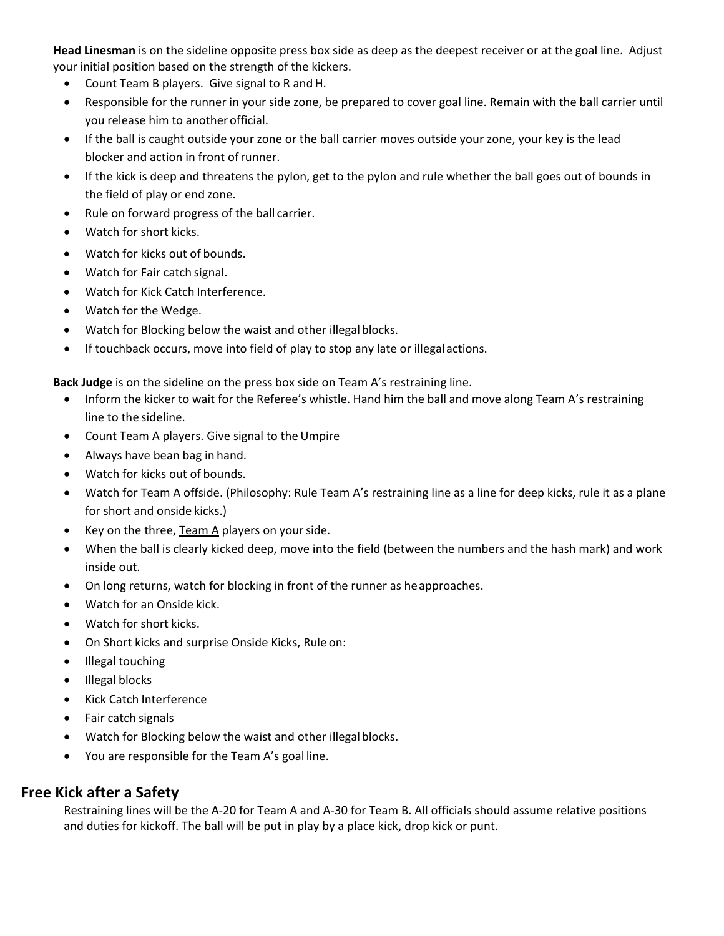**Head Linesman** is on the sideline opposite press box side as deep as the deepest receiver or at the goal line. Adjust your initial position based on the strength of the kickers.

- Count Team B players. Give signal to R and H.
- Responsible for the runner in your side zone, be prepared to cover goal line. Remain with the ball carrier until you release him to another official.
- If the ball is caught outside your zone or the ball carrier moves outside your zone, your key is the lead blocker and action in front of runner.
- If the kick is deep and threatens the pylon, get to the pylon and rule whether the ball goes out of bounds in the field of play or end zone.
- Rule on forward progress of the ball carrier.
- Watch for short kicks.
- Watch for kicks out of bounds.
- Watch for Fair catch signal.
- Watch for Kick Catch Interference.
- Watch for the Wedge.
- Watch for Blocking below the waist and other illegal blocks.
- If touchback occurs, move into field of play to stop any late or illegal actions.

**Back Judge** is on the sideline on the press box side on Team A's restraining line.

- Inform the kicker to wait for the Referee's whistle. Hand him the ball and move along Team A's restraining line to the sideline.
- Count Team A players. Give signal to theUmpire
- Always have bean bag in hand.
- Watch for kicks out of bounds.
- Watch for Team A offside. (Philosophy: Rule Team A's restraining line as a line for deep kicks, rule it as a plane for short and onside kicks.)
- Key on the three,  $Team A players on your side.$ </u>
- When the ball is clearly kicked deep, move into the field (between the numbers and the hash mark) and work inside out.
- On long returns, watch for blocking in front of the runner as heapproaches.
- Watch for an Onside kick.
- Watch for short kicks.
- On Short kicks and surprise Onside Kicks, Rule on:
- Illegal touching
- Illegal blocks
- Kick Catch Interference
- Fair catch signals
- Watch for Blocking below the waist and other illegal blocks.
- You are responsible for the Team A's goal line.

### **Free Kick after a Safety**

Restraining lines will be the A-20 for Team A and A-30 for Team B. All officials should assume relative positions and duties for kickoff. The ball will be put in play by a place kick, drop kick or punt.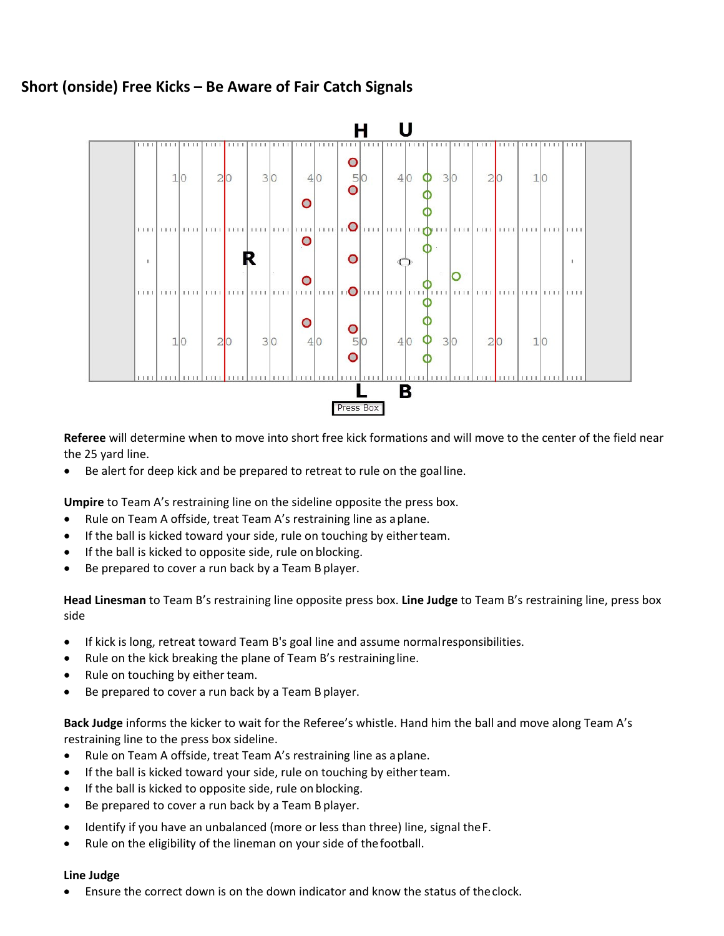# **Short (onside) Free Kicks – Be Aware of Fair Catch Signals**



**Referee** will determine when to move into short free kick formations and will move to the center of the field near the 25 yard line.

• Be alert for deep kick and be prepared to retreat to rule on the goalline.

**Umpire** to Team A's restraining line on the sideline opposite the press box.

- Rule on Team A offside, treat Team A's restraining line as aplane.
- If the ball is kicked toward your side, rule on touching by either team.
- If the ball is kicked to opposite side, rule on blocking.
- Be prepared to cover a run back by a Team B player.

**Head Linesman** to Team B's restraining line opposite press box. **Line Judge** to Team B's restraining line, press box side

- If kick is long, retreat toward Team B's goal line and assume normalresponsibilities.
- Rule on the kick breaking the plane of Team B's restraining line.
- Rule on touching by either team.
- Be prepared to cover a run back by a Team B player.

**Back Judge** informs the kicker to wait for the Referee's whistle. Hand him the ball and move along Team A's restraining line to the press box sideline.

- Rule on Team A offside, treat Team A's restraining line as aplane.
- If the ball is kicked toward your side, rule on touching by either team.
- If the ball is kicked to opposite side, rule on blocking.
- Be prepared to cover a run back by a Team B player.
- Identify if you have an unbalanced (more or less than three) line, signal theF.
- Rule on the eligibility of the lineman on your side of thefootball.

#### **Line Judge**

• Ensure the correct down is on the down indicator and know the status of theclock.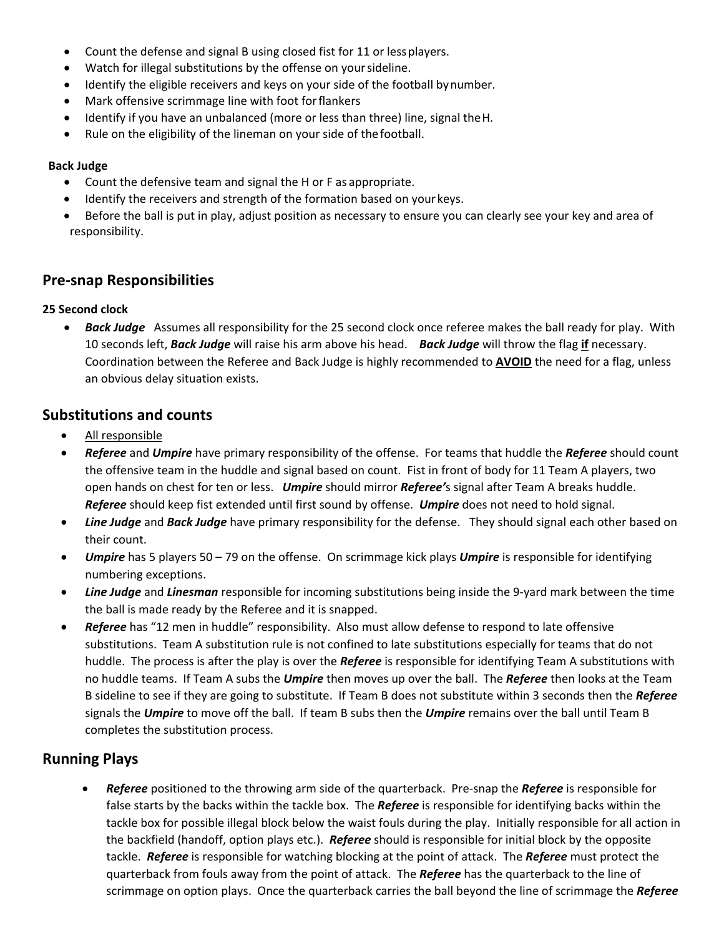- Count the defense and signal B using closed fist for 11 or lessplayers.
- Watch for illegal substitutions by the offense on yoursideline.
- Identify the eligible receivers and keys on your side of the football bynumber.
- Mark offensive scrimmage line with foot forflankers
- Identify if you have an unbalanced (more or less than three) line, signal the H.
- Rule on the eligibility of the lineman on your side of thefootball.

#### **Back Judge**

- Count the defensive team and signal the H or F as appropriate.
- Identify the receivers and strength of the formation based on your keys.
- Before the ball is put in play, adjust position as necessary to ensure you can clearly see your key and area of responsibility.

## **Pre-snap Responsibilities**

### **25 Second clock**

• *Back Judge* Assumes all responsibility for the 25 second clock once referee makes the ball ready for play. With 10 seconds left, *Back Judge* will raise his arm above his head. *Back Judge* will throw the flag **if** necessary. Coordination between the Referee and Back Judge is highly recommended to **AVOID** the need for a flag, unless an obvious delay situation exists.

## **Substitutions and counts**

- All responsible
- *Referee* and *Umpire* have primary responsibility of the offense. For teams that huddle the *Referee* should count the offensive team in the huddle and signal based on count. Fist in front of body for 11 Team A players, two open hands on chest for ten or less. *Umpire* should mirror *Referee'*s signal after Team A breaks huddle. *Referee* should keep fist extended until first sound by offense. *Umpire* does not need to hold signal.
- *Line Judge* and *Back Judge* have primary responsibility for the defense. They should signal each other based on their count.
- *Umpire* has 5 players 50 79 on the offense. On scrimmage kick plays *Umpire* is responsible for identifying numbering exceptions.
- *Line Judge* and *Linesman* responsible for incoming substitutions being inside the 9-yard mark between the time the ball is made ready by the Referee and it is snapped.
- *Referee* has "12 men in huddle" responsibility. Also must allow defense to respond to late offensive substitutions. Team A substitution rule is not confined to late substitutions especially for teams that do not huddle. The process is after the play is over the *Referee* is responsible for identifying Team A substitutions with no huddle teams. If Team A subs the *Umpire* then moves up over the ball. The *Referee* then looks at the Team B sideline to see if they are going to substitute. If Team B does not substitute within 3 seconds then the *Referee* signals the *Umpire* to move off the ball. If team B subs then the *Umpire* remains over the ball until Team B completes the substitution process.

# **Running Plays**

• *Referee* positioned to the throwing arm side of the quarterback. Pre-snap the *Referee* is responsible for false starts by the backs within the tackle box. The *Referee* is responsible for identifying backs within the tackle box for possible illegal block below the waist fouls during the play. Initially responsible for all action in the backfield (handoff, option plays etc.). *Referee* should is responsible for initial block by the opposite tackle. *Referee* is responsible for watching blocking at the point of attack. The *Referee* must protect the quarterback from fouls away from the point of attack. The *Referee* has the quarterback to the line of scrimmage on option plays. Once the quarterback carries the ball beyond the line of scrimmage the *Referee*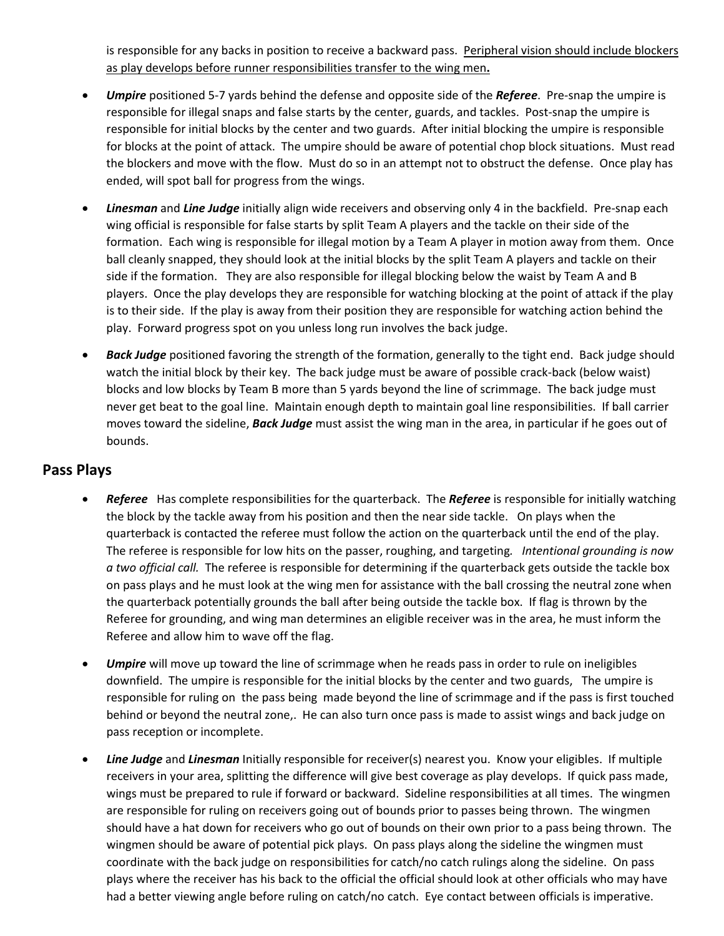is responsible for any backs in position to receive a backward pass. Peripheral vision should include blockers as play develops before runner responsibilities transfer to the wing men**.** 

- *Umpire* positioned 5-7 yards behind the defense and opposite side of the *Referee*. Pre-snap the umpire is responsible for illegal snaps and false starts by the center, guards, and tackles. Post-snap the umpire is responsible for initial blocks by the center and two guards. After initial blocking the umpire is responsible for blocks at the point of attack. The umpire should be aware of potential chop block situations. Must read the blockers and move with the flow. Must do so in an attempt not to obstruct the defense. Once play has ended, will spot ball for progress from the wings.
- *Linesman* and *Line Judge* initially align wide receivers and observing only 4 in the backfield. Pre-snap each wing official is responsible for false starts by split Team A players and the tackle on their side of the formation. Each wing is responsible for illegal motion by a Team A player in motion away from them. Once ball cleanly snapped, they should look at the initial blocks by the split Team A players and tackle on their side if the formation. They are also responsible for illegal blocking below the waist by Team A and B players. Once the play develops they are responsible for watching blocking at the point of attack if the play is to their side. If the play is away from their position they are responsible for watching action behind the play. Forward progress spot on you unless long run involves the back judge.
- *Back Judge* positioned favoring the strength of the formation, generally to the tight end. Back judge should watch the initial block by their key. The back judge must be aware of possible crack-back (below waist) blocks and low blocks by Team B more than 5 yards beyond the line of scrimmage. The back judge must never get beat to the goal line. Maintain enough depth to maintain goal line responsibilities. If ball carrier moves toward the sideline, *Back Judge* must assist the wing man in the area, in particular if he goes out of bounds.

### **Pass Plays**

- *Referee* Has complete responsibilities for the quarterback. The *Referee* is responsible for initially watching the block by the tackle away from his position and then the near side tackle. On plays when the quarterback is contacted the referee must follow the action on the quarterback until the end of the play. The referee is responsible for low hits on the passer, roughing, and targeting*. Intentional grounding is now a two official call.* The referee is responsible for determining if the quarterback gets outside the tackle box on pass plays and he must look at the wing men for assistance with the ball crossing the neutral zone when the quarterback potentially grounds the ball after being outside the tackle box. If flag is thrown by the Referee for grounding, and wing man determines an eligible receiver was in the area, he must inform the Referee and allow him to wave off the flag.
- *Umpire* will move up toward the line of scrimmage when he reads pass in order to rule on ineligibles downfield. The umpire is responsible for the initial blocks by the center and two guards, The umpire is responsible for ruling on the pass being made beyond the line of scrimmage and if the pass is first touched behind or beyond the neutral zone,. He can also turn once pass is made to assist wings and back judge on pass reception or incomplete.
- *Line Judge* and *Linesman* Initially responsible for receiver(s) nearest you. Know your eligibles. If multiple receivers in your area, splitting the difference will give best coverage as play develops. If quick pass made, wings must be prepared to rule if forward or backward. Sideline responsibilities at all times. The wingmen are responsible for ruling on receivers going out of bounds prior to passes being thrown. The wingmen should have a hat down for receivers who go out of bounds on their own prior to a pass being thrown. The wingmen should be aware of potential pick plays. On pass plays along the sideline the wingmen must coordinate with the back judge on responsibilities for catch/no catch rulings along the sideline. On pass plays where the receiver has his back to the official the official should look at other officials who may have had a better viewing angle before ruling on catch/no catch. Eye contact between officials is imperative.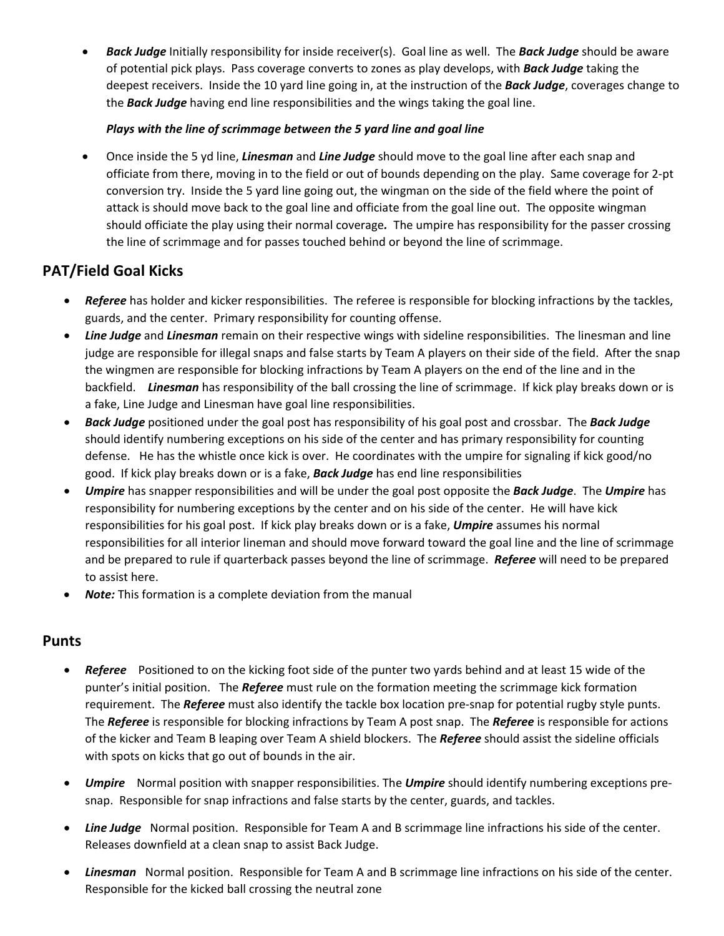• *Back Judge* Initially responsibility for inside receiver(s). Goal line as well. The *Back Judge* should be aware of potential pick plays. Pass coverage converts to zones as play develops, with *Back Judge* taking the deepest receivers. Inside the 10 yard line going in, at the instruction of the *Back Judge*, coverages change to the *Back Judge* having end line responsibilities and the wings taking the goal line.

### *Plays with the line of scrimmage between the 5 yard line and goal line*

• Once inside the 5 yd line, *Linesman* and *Line Judge* should move to the goal line after each snap and officiate from there, moving in to the field or out of bounds depending on the play. Same coverage for 2-pt conversion try. Inside the 5 yard line going out, the wingman on the side of the field where the point of attack is should move back to the goal line and officiate from the goal line out. The opposite wingman should officiate the play using their normal coverage*.* The umpire has responsibility for the passer crossing the line of scrimmage and for passes touched behind or beyond the line of scrimmage.

# **PAT/Field Goal Kicks**

- *Referee* has holder and kicker responsibilities. The referee is responsible for blocking infractions by the tackles, guards, and the center. Primary responsibility for counting offense.
- *Line Judge* and *Linesman* remain on their respective wings with sideline responsibilities. The linesman and line judge are responsible for illegal snaps and false starts by Team A players on their side of the field. After the snap the wingmen are responsible for blocking infractions by Team A players on the end of the line and in the backfield. *Linesman* has responsibility of the ball crossing the line of scrimmage. If kick play breaks down or is a fake, Line Judge and Linesman have goal line responsibilities.
- *Back Judge* positioned under the goal post has responsibility of his goal post and crossbar. The *Back Judge* should identify numbering exceptions on his side of the center and has primary responsibility for counting defense. He has the whistle once kick is over. He coordinates with the umpire for signaling if kick good/no good. If kick play breaks down or is a fake, *Back Judge* has end line responsibilities
- *Umpire* has snapper responsibilities and will be under the goal post opposite the *Back Judge*. The *Umpire* has responsibility for numbering exceptions by the center and on his side of the center. He will have kick responsibilities for his goal post. If kick play breaks down or is a fake, *Umpire* assumes his normal responsibilities for all interior lineman and should move forward toward the goal line and the line of scrimmage and be prepared to rule if quarterback passes beyond the line of scrimmage. *Referee* will need to be prepared to assist here.
- *Note:* This formation is a complete deviation from the manual

### **Punts**

- *Referee* Positioned to on the kicking foot side of the punter two yards behind and at least 15 wide of the punter's initial position. The *Referee* must rule on the formation meeting the scrimmage kick formation requirement. The *Referee* must also identify the tackle box location pre-snap for potential rugby style punts. The *Referee* is responsible for blocking infractions by Team A post snap. The *Referee* is responsible for actions of the kicker and Team B leaping over Team A shield blockers. The *Referee* should assist the sideline officials with spots on kicks that go out of bounds in the air.
- *Umpire* Normal position with snapper responsibilities. The *Umpire* should identify numbering exceptions presnap. Responsible for snap infractions and false starts by the center, guards, and tackles.
- *Line Judge* Normal position. Responsible for Team A and B scrimmage line infractions his side of the center. Releases downfield at a clean snap to assist Back Judge.
- *Linesman* Normal position. Responsible for Team A and B scrimmage line infractions on his side of the center. Responsible for the kicked ball crossing the neutral zone